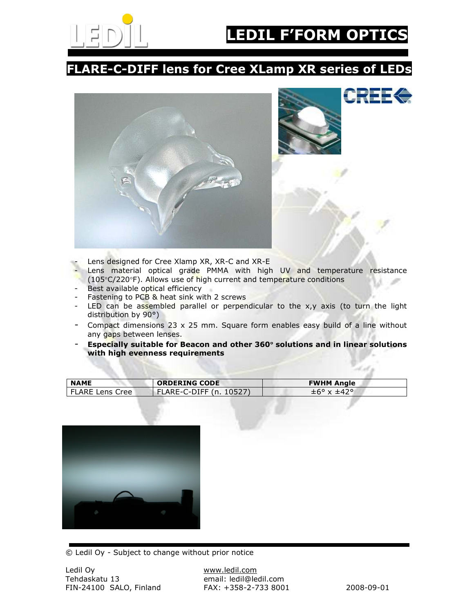

CREEG

## FLARE-C-DIFF lens for Cree XLamp XR series of LEDs



- Lens designed for Cree Xlamp XR, XR-C and XR-E
- Lens material optical grade PMMA with high UV and temperature resistance
- (105°C/220°F). Allows use of high current and temperature conditions
- Best available optical efficiency
- Fastening to PCB & heat sink with 2 screws
- LED can be assembled parallel or perpendicular to the  $x,y$  axis (to turn the light distribution by 90°)
- Compact dimensions 23 x 25 mm. Square form enables easy build of a line without any gaps between lenses.
- Especially suitable for Beacon and other 360° solutions and in linear solutions with high evenness requirements

| <b>NAME</b>     | <b>ORDERING CODE</b>    | <b>FWHM Angle</b>                  |
|-----------------|-------------------------|------------------------------------|
| FLARE Lens Cree | FLARE-C-DIFF (n. 10527) | $\pm 6^{\circ}$ x $\pm 42^{\circ}$ |



© Ledil Oy - Subject to change without prior notice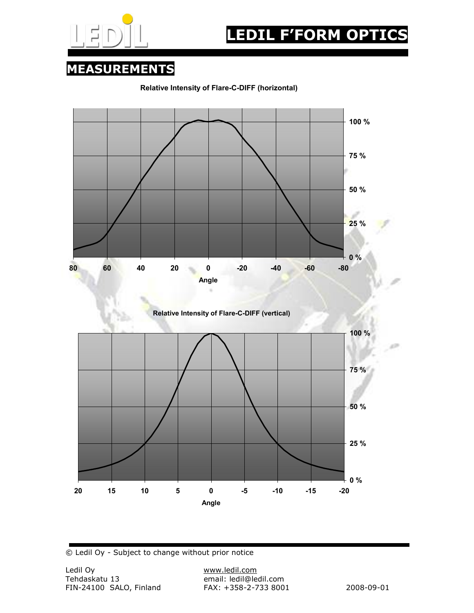

## MEASUREMENTS





© Ledil Oy - Subject to change without prior notice

email: ledil@ledil.com<br>FAX: +358-2-733 8001